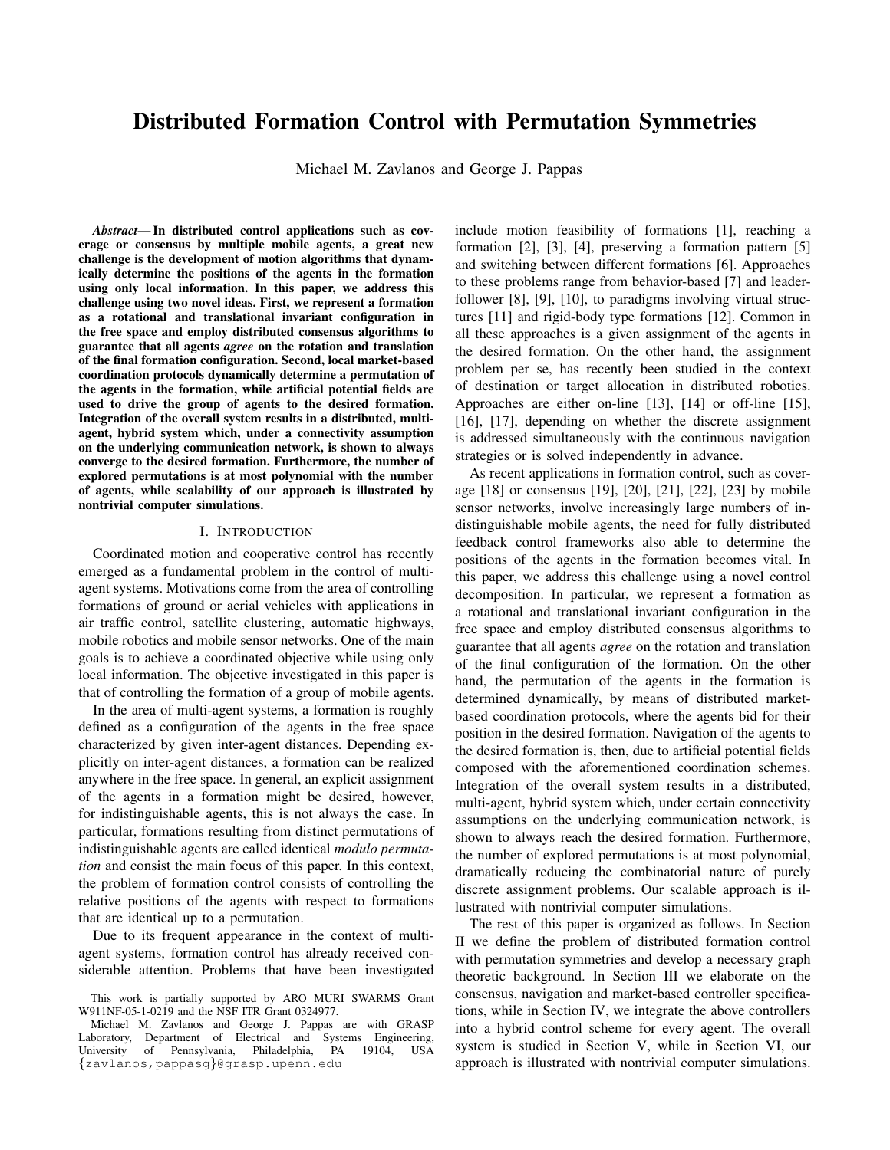# Distributed Formation Control with Permutation Symmetries

Michael M. Zavlanos and George J. Pappas

*Abstract*— In distributed control applications such as coverage or consensus by multiple mobile agents, a great new challenge is the development of motion algorithms that dynamically determine the positions of the agents in the formation using only local information. In this paper, we address this challenge using two novel ideas. First, we represent a formation as a rotational and translational invariant configuration in the free space and employ distributed consensus algorithms to guarantee that all agents *agree* on the rotation and translation of the final formation configuration. Second, local market-based coordination protocols dynamically determine a permutation of the agents in the formation, while artificial potential fields are used to drive the group of agents to the desired formation. Integration of the overall system results in a distributed, multiagent, hybrid system which, under a connectivity assumption on the underlying communication network, is shown to always converge to the desired formation. Furthermore, the number of explored permutations is at most polynomial with the number of agents, while scalability of our approach is illustrated by nontrivial computer simulations.

# I. INTRODUCTION

Coordinated motion and cooperative control has recently emerged as a fundamental problem in the control of multiagent systems. Motivations come from the area of controlling formations of ground or aerial vehicles with applications in air traffic control, satellite clustering, automatic highways, mobile robotics and mobile sensor networks. One of the main goals is to achieve a coordinated objective while using only local information. The objective investigated in this paper is that of controlling the formation of a group of mobile agents.

In the area of multi-agent systems, a formation is roughly defined as a configuration of the agents in the free space characterized by given inter-agent distances. Depending explicitly on inter-agent distances, a formation can be realized anywhere in the free space. In general, an explicit assignment of the agents in a formation might be desired, however, for indistinguishable agents, this is not always the case. In particular, formations resulting from distinct permutations of indistinguishable agents are called identical *modulo permutation* and consist the main focus of this paper. In this context, the problem of formation control consists of controlling the relative positions of the agents with respect to formations that are identical up to a permutation.

Due to its frequent appearance in the context of multiagent systems, formation control has already received considerable attention. Problems that have been investigated include motion feasibility of formations [1], reaching a formation [2], [3], [4], preserving a formation pattern [5] and switching between different formations [6]. Approaches to these problems range from behavior-based [7] and leaderfollower [8], [9], [10], to paradigms involving virtual structures [11] and rigid-body type formations [12]. Common in all these approaches is a given assignment of the agents in the desired formation. On the other hand, the assignment problem per se, has recently been studied in the context of destination or target allocation in distributed robotics. Approaches are either on-line [13], [14] or off-line [15], [16], [17], depending on whether the discrete assignment is addressed simultaneously with the continuous navigation strategies or is solved independently in advance.

As recent applications in formation control, such as coverage [18] or consensus [19], [20], [21], [22], [23] by mobile sensor networks, involve increasingly large numbers of indistinguishable mobile agents, the need for fully distributed feedback control frameworks also able to determine the positions of the agents in the formation becomes vital. In this paper, we address this challenge using a novel control decomposition. In particular, we represent a formation as a rotational and translational invariant configuration in the free space and employ distributed consensus algorithms to guarantee that all agents *agree* on the rotation and translation of the final configuration of the formation. On the other hand, the permutation of the agents in the formation is determined dynamically, by means of distributed marketbased coordination protocols, where the agents bid for their position in the desired formation. Navigation of the agents to the desired formation is, then, due to artificial potential fields composed with the aforementioned coordination schemes. Integration of the overall system results in a distributed, multi-agent, hybrid system which, under certain connectivity assumptions on the underlying communication network, is shown to always reach the desired formation. Furthermore, the number of explored permutations is at most polynomial, dramatically reducing the combinatorial nature of purely discrete assignment problems. Our scalable approach is illustrated with nontrivial computer simulations.

The rest of this paper is organized as follows. In Section II we define the problem of distributed formation control with permutation symmetries and develop a necessary graph theoretic background. In Section III we elaborate on the consensus, navigation and market-based controller specifications, while in Section IV, we integrate the above controllers into a hybrid control scheme for every agent. The overall system is studied in Section V, while in Section VI, our approach is illustrated with nontrivial computer simulations.

This work is partially supported by ARO MURI SWARMS Grant W911NF-05-1-0219 and the NSF ITR Grant 0324977.

Michael M. Zavlanos and George J. Pappas are with GRASP Laboratory, Department of Electrical and Systems Engineering, University of Pennsylvania, Philadelphia, PA 19104, USA {zavlanos,pappasg}@grasp.upenn.edu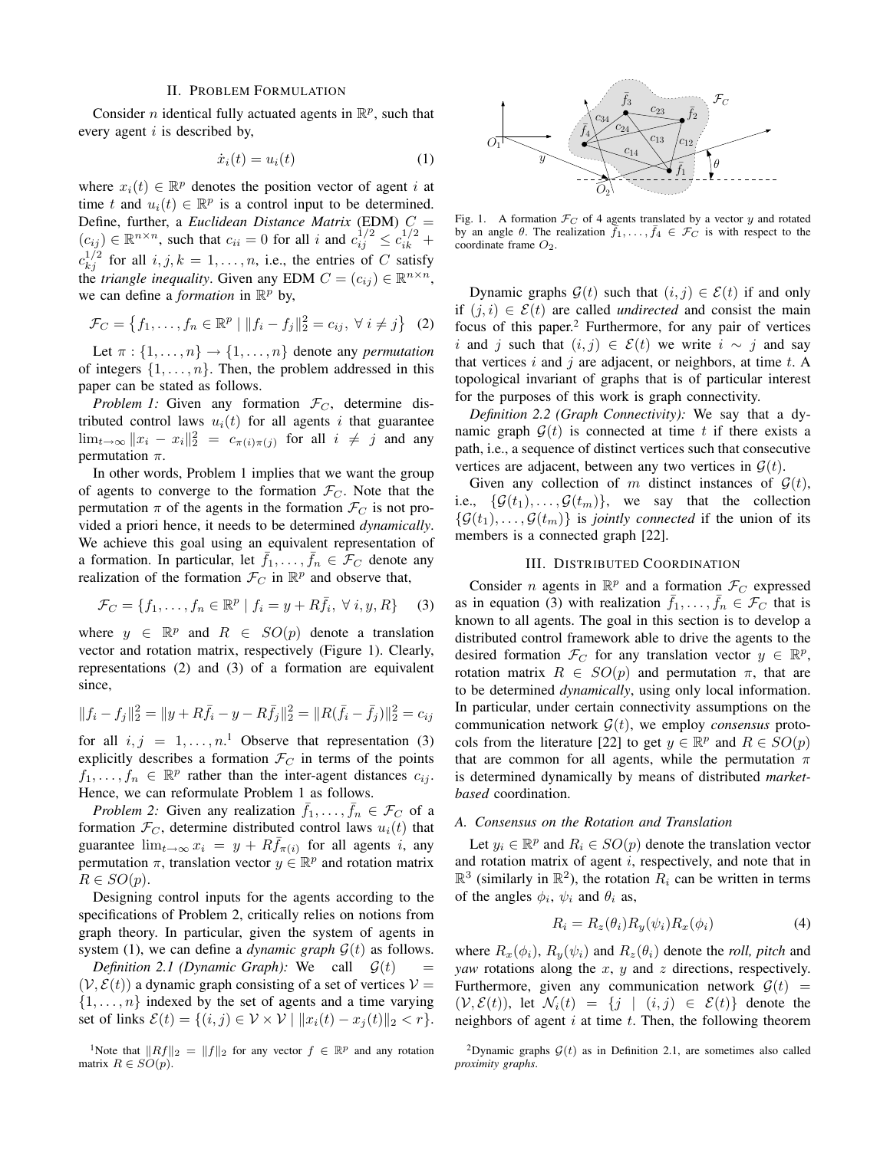## II. PROBLEM FORMULATION

Consider *n* identical fully actuated agents in  $\mathbb{R}^p$ , such that every agent  $i$  is described by,

$$
\dot{x}_i(t) = u_i(t) \tag{1}
$$

where  $x_i(t) \in \mathbb{R}^p$  denotes the position vector of agent i at time t and  $u_i(t) \in \mathbb{R}^p$  is a control input to be determined. Define, further, a *Euclidean Distance Matrix* (EDM) C =  $(c_{ij}) \in \mathbb{R}^{n \times n}$ , such that  $c_{ii} = 0$  for all i and  $c_{ij}^{1/2} \leq c_{ik}^{1/2}$  +  $c_{kj}^{1/2}$  for all  $i, j, k = 1, \ldots, n$ , i.e., the entries of C satisfy the *triangle inequality*. Given any EDM  $C = (c_{ij}) \in \mathbb{R}^{n \times n}$ , we can define a *formation* in  $\mathbb{R}^p$  by,

$$
\mathcal{F}_C = \{f_1, \dots, f_n \in \mathbb{R}^p \mid ||f_i - f_j||_2^2 = c_{ij}, \ \forall \ i \neq j\} \tag{2}
$$

Let  $\pi$  :  $\{1, \ldots, n\}$   $\rightarrow$   $\{1, \ldots, n\}$  denote any *permutation* of integers  $\{1, \ldots, n\}$ . Then, the problem addressed in this paper can be stated as follows.

*Problem 1:* Given any formation  $\mathcal{F}_C$ , determine distributed control laws  $u_i(t)$  for all agents i that guarantee  $\lim_{t\to\infty} ||x_i - x_i||_2^2 = c_{\pi(i)\pi(j)}$  for all  $i \neq j$  and any permutation  $\pi$ .

In other words, Problem 1 implies that we want the group of agents to converge to the formation  $\mathcal{F}_C$ . Note that the permutation  $\pi$  of the agents in the formation  $\mathcal{F}_C$  is not provided a priori hence, it needs to be determined *dynamically*. We achieve this goal using an equivalent representation of a formation. In particular, let  $\bar{f}_1, \ldots, \bar{f}_n \in \mathcal{F}_C$  denote any realization of the formation  $\mathcal{F}_C$  in  $\mathbb{R}^p$  and observe that,

$$
\mathcal{F}_C = \{f_1, \dots, f_n \in \mathbb{R}^p \mid f_i = y + R\bar{f}_i, \ \forall \ i, y, R\}
$$
 (3)

where  $y \in \mathbb{R}^p$  and  $R \in SO(p)$  denote a translation vector and rotation matrix, respectively (Figure 1). Clearly, representations (2) and (3) of a formation are equivalent since,

$$
||f_i - f_j||_2^2 = ||y + R\bar{f}_i - y - R\bar{f}_j||_2^2 = ||R(\bar{f}_i - \bar{f}_j)||_2^2 = c_{ij}
$$

for all  $i, j = 1, ..., n$ <sup>1</sup> Observe that representation (3) explicitly describes a formation  $\mathcal{F}_C$  in terms of the points  $f_1, \ldots, f_n \in \mathbb{R}^p$  rather than the inter-agent distances  $c_{ij}$ . Hence, we can reformulate Problem 1 as follows.

*Problem 2:* Given any realization  $\bar{f}_1, \ldots, \bar{f}_n \in \mathcal{F}_C$  of a formation  $\mathcal{F}_C$ , determine distributed control laws  $u_i(t)$  that guarantee  $\lim_{t\to\infty} x_i = y + R\bar{f}_{\pi(i)}$  for all agents i, any permutation  $\pi$ , translation vector  $y \in \mathbb{R}^p$  and rotation matrix  $R \in SO(p).$ 

Designing control inputs for the agents according to the specifications of Problem 2, critically relies on notions from graph theory. In particular, given the system of agents in system (1), we can define a *dynamic graph*  $G(t)$  as follows.

*Definition 2.1 (Dynamic Graph):* We call  $G(t)$  $(V, \mathcal{E}(t))$  a dynamic graph consisting of a set of vertices  $V =$  $\{1, \ldots, n\}$  indexed by the set of agents and a time varying set of links  $\mathcal{E}(t) = \{(i, j) \in \mathcal{V} \times \mathcal{V} \mid ||x_i(t) - x_j(t)||_2 < r\}.$ 

<sup>1</sup>Note that  $||Rf||_2 = ||f||_2$  for any vector  $f \in \mathbb{R}^p$  and any rotation matrix  $R \in SO(p)$ .



Fig. 1. A formation  $\mathcal{F}_C$  of 4 agents translated by a vector y and rotated by an angle  $\theta$ . The realization  $\overline{f}_1, \ldots, \overline{f}_4 \in \mathcal{F}_C$  is with respect to the coordinate frame  $O_2$ .

Dynamic graphs  $\mathcal{G}(t)$  such that  $(i, j) \in \mathcal{E}(t)$  if and only if  $(j, i) \in \mathcal{E}(t)$  are called *undirected* and consist the main focus of this paper.<sup>2</sup> Furthermore, for any pair of vertices i and j such that  $(i, j) \in \mathcal{E}(t)$  we write  $i \sim j$  and say that vertices i and j are adjacent, or neighbors, at time  $t$ . A topological invariant of graphs that is of particular interest for the purposes of this work is graph connectivity.

*Definition 2.2 (Graph Connectivity):* We say that a dynamic graph  $G(t)$  is connected at time t if there exists a path, i.e., a sequence of distinct vertices such that consecutive vertices are adjacent, between any two vertices in  $G(t)$ .

Given any collection of m distinct instances of  $G(t)$ , i.e.,  $\{\mathcal{G}(t_1), \ldots, \mathcal{G}(t_m)\}\$ , we say that the collection  $\{\mathcal{G}(t_1), \ldots, \mathcal{G}(t_m)\}\$ is *jointly connected* if the union of its members is a connected graph [22].

# III. DISTRIBUTED COORDINATION

Consider *n* agents in  $\mathbb{R}^p$  and a formation  $\mathcal{F}_C$  expressed as in equation (3) with realization  $\bar{f}_1, \ldots, \bar{f}_n \in \mathcal{F}_C$  that is known to all agents. The goal in this section is to develop a distributed control framework able to drive the agents to the desired formation  $\mathcal{F}_C$  for any translation vector  $y \in \mathbb{R}^p$ , rotation matrix  $R \in SO(p)$  and permutation  $\pi$ , that are to be determined *dynamically*, using only local information. In particular, under certain connectivity assumptions on the communication network  $G(t)$ , we employ *consensus* protocols from the literature [22] to get  $y \in \mathbb{R}^p$  and  $R \in SO(p)$ that are common for all agents, while the permutation  $\pi$ is determined dynamically by means of distributed *marketbased* coordination.

# *A. Consensus on the Rotation and Translation*

Let  $y_i \in \mathbb{R}^p$  and  $R_i \in SO(p)$  denote the translation vector and rotation matrix of agent  $i$ , respectively, and note that in  $\mathbb{R}^3$  (similarly in  $\mathbb{R}^2$ ), the rotation  $R_i$  can be written in terms of the angles  $\phi_i$ ,  $\psi_i$  and  $\theta_i$  as,

$$
R_i = R_z(\theta_i) R_y(\psi_i) R_x(\phi_i) \tag{4}
$$

where  $R_x(\phi_i)$ ,  $R_y(\psi_i)$  and  $R_z(\theta_i)$  denote the *roll*, *pitch* and *yaw* rotations along the x, y and z directions, respectively. Furthermore, given any communication network  $\mathcal{G}(t)$  =  $(V,\mathcal{E}(t))$ , let  $\mathcal{N}_i(t) = \{j \mid (i,j) \in \mathcal{E}(t)\}\$  denote the neighbors of agent  $i$  at time  $t$ . Then, the following theorem

<sup>&</sup>lt;sup>2</sup>Dynamic graphs  $G(t)$  as in Definition 2.1, are sometimes also called *proximity graphs*.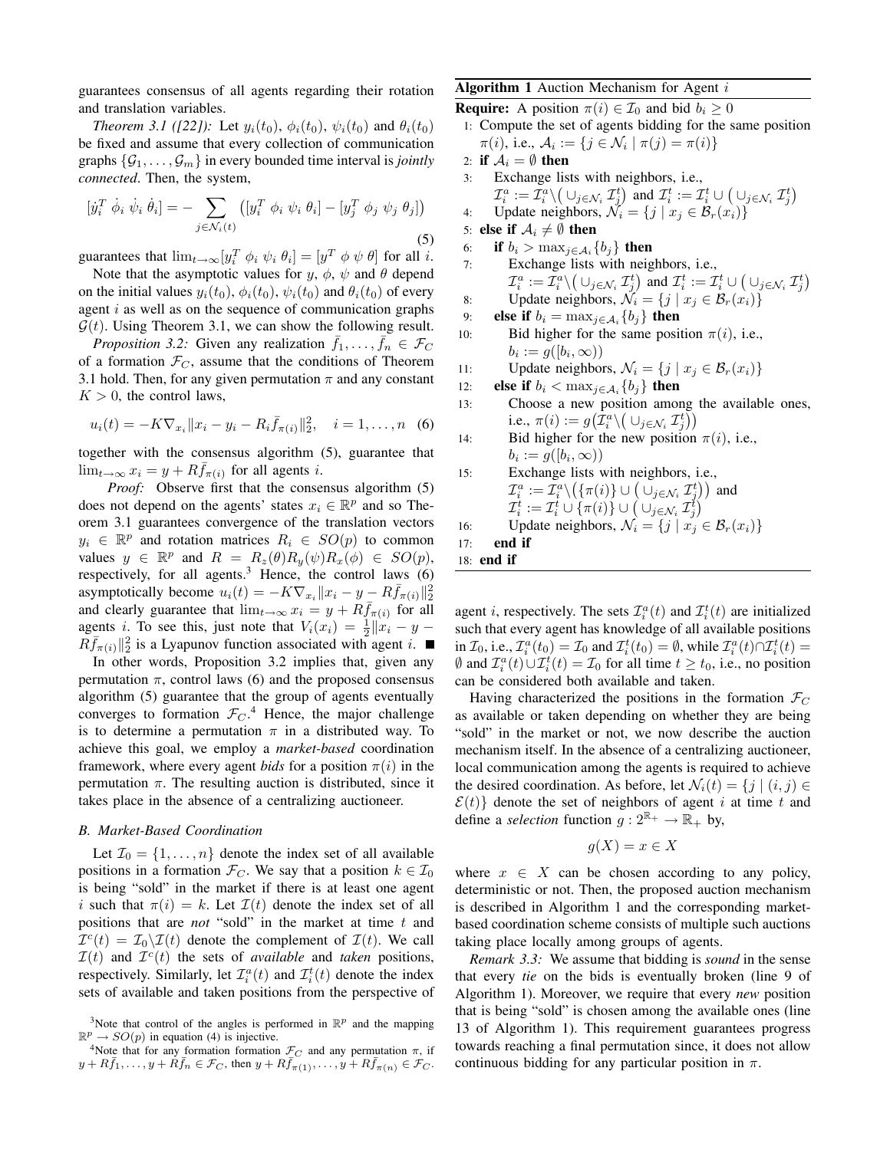guarantees consensus of all agents regarding their rotation and translation variables.

*Theorem 3.1 ([22]):* Let  $y_i(t_0)$ ,  $\phi_i(t_0)$ ,  $\psi_i(t_0)$  and  $\theta_i(t_0)$ be fixed and assume that every collection of communication graphs  $\{\mathcal{G}_1, \ldots, \mathcal{G}_m\}$  in every bounded time interval is *jointly connected*. Then, the system,

$$
[\dot{y}_i^T \dot{\phi}_i \dot{\psi}_i \dot{\theta}_i] = - \sum_{j \in \mathcal{N}_i(t)} \left( [y_i^T \phi_i \psi_i \theta_i] - [y_j^T \phi_j \psi_j \theta_j] \right)
$$
\n(5)

guarantees that  $\lim_{t\to\infty} [y_i^T \phi_i \psi_i \theta_i] = [y^T \phi \psi \theta]$  for all *i*.

Note that the asymptotic values for  $y, \phi, \psi$  and  $\theta$  depend on the initial values  $y_i(t_0)$ ,  $\phi_i(t_0)$ ,  $\psi_i(t_0)$  and  $\theta_i(t_0)$  of every agent  $i$  as well as on the sequence of communication graphs  $\mathcal{G}(t)$ . Using Theorem 3.1, we can show the following result.

*Proposition 3.2:* Given any realization  $\bar{f}_1, \ldots, \bar{f}_n \in \mathcal{F}_C$ of a formation  $\mathcal{F}_C$ , assume that the conditions of Theorem 3.1 hold. Then, for any given permutation  $\pi$  and any constant  $K > 0$ , the control laws,

$$
u_i(t) = -K \nabla_{x_i} ||x_i - y_i - R_i \bar{f}_{\pi(i)}||_2^2, \quad i = 1, \dots, n \quad (6)
$$

together with the consensus algorithm (5), guarantee that  $\lim_{t\to\infty} x_i = y + R\bar{f}_{\pi(i)}$  for all agents *i*.

*Proof:* Observe first that the consensus algorithm (5) does not depend on the agents' states  $x_i \in \mathbb{R}^p$  and so Theorem 3.1 guarantees convergence of the translation vectors  $y_i \in \mathbb{R}^p$  and rotation matrices  $R_i \in SO(p)$  to common values  $y \in \mathbb{R}^p$  and  $R = R_z(\theta)R_y(\psi)R_x(\phi) \in SO(p)$ , respectively, for all agents. $3$  Hence, the control laws (6) asymptotically become  $u_i(t) = -K\nabla_{x_i} ||x_i - y - R\bar{f}_{\pi(i)}||_2^2$ and clearly guarantee that  $\lim_{t\to\infty} x_i = y + R\bar{f}_{\pi(i)}$  for all agents i. To see this, just note that  $V_i(x_i) = \frac{1}{2} ||x_i - y - z_i||$  $R\bar{f}_{\pi(i)}||_2^2$  is a Lyapunov function associated with agent i.

In other words, Proposition 3.2 implies that, given any permutation  $\pi$ , control laws (6) and the proposed consensus algorithm (5) guarantee that the group of agents eventually converges to formation  $\mathcal{F}_C$ .<sup>4</sup> Hence, the major challenge is to determine a permutation  $\pi$  in a distributed way. To achieve this goal, we employ a *market-based* coordination framework, where every agent *bids* for a position  $\pi(i)$  in the permutation  $\pi$ . The resulting auction is distributed, since it takes place in the absence of a centralizing auctioneer.

## *B. Market-Based Coordination*

Let  $\mathcal{I}_0 = \{1, \ldots, n\}$  denote the index set of all available positions in a formation  $\mathcal{F}_C$ . We say that a position  $k \in \mathcal{I}_0$ is being "sold" in the market if there is at least one agent i such that  $\pi(i) = k$ . Let  $\mathcal{I}(t)$  denote the index set of all positions that are *not* "sold" in the market at time t and  $\mathcal{I}^{c}(t) = \mathcal{I}_{0} \backslash \mathcal{I}(t)$  denote the complement of  $\mathcal{I}(t)$ . We call  $\mathcal{I}(t)$  and  $\mathcal{I}^c(t)$  the sets of *available* and *taken* positions, respectively. Similarly, let  $\mathcal{I}_i^a(t)$  and  $\mathcal{I}_i^t(t)$  denote the index sets of available and taken positions from the perspective of

# **Algorithm 1** Auction Mechanism for Agent  $i$

**Require:** A position  $\pi(i) \in \mathcal{I}_0$  and bid  $b_i \geq 0$ 1: Compute the set of agents bidding for the same position  $\pi(i)$ , i.e.,  $A_i := \{ j \in \mathcal{N}_i \mid \pi(j) = \pi(i) \}$ 2: if  $A_i = \emptyset$  then 3: Exchange lists with neighbors, i.e., a a t t t ¡  $t\setminus$ 

$$
\mathcal{I}_i^a := \mathcal{I}_i^a \setminus \left( \cup_{j \in \mathcal{N}_i} \mathcal{I}_j^t \right) \text{ and } \mathcal{I}_i^t := \mathcal{I}_i^t \cup \left( \cup_{j \in \mathcal{N}_i} \mathcal{I}_j^t \right)
$$

- 4: Update neighbors,  $\mathcal{N}_i = \{j \mid x_j \in \mathcal{B}_r(x_i)\}\$
- 5: else if  $A_i \neq \emptyset$  then
- 6: if  $b_i > \max_{j \in \mathcal{A}_i} \{b_j\}$  then 7: Exchange lists with neighbors, i.e.,  $\mathcal{I}_i^a:=\mathcal{I}_i^a\backslash \big(\cup_{j\in\mathcal{N}_i}\mathcal{I}_j^t\big)$  and  $\mathcal{I}_i^t:=\mathcal{I}_i^t\cup$ ¡  $\cup_{j\in\mathcal{N}_i}\mathcal{I}_j^t$ ¢ 8: Update neighbors,  $\mathcal{N}_i = \{j \mid x_j \in \mathcal{B}_r(x_i)\}\$
- 9: **else if**  $b_i = \max_{j \in \mathcal{A}_i} \{b_j\}$  then
- 10: Bid higher for the same position  $\pi(i)$ , i.e.,  $b_i := g([b_i, \infty))$
- 11: Update neighbors,  $\mathcal{N}_i = \{j \mid x_j \in \mathcal{B}_r(x_i)\}\$
- 12: **else if**  $b_i < \max_{j \in \mathcal{A}_i} \{b_j\}$  then
- 13: Choose a new position among the available ones, i.e.,  $\pi(i) := g\big(\mathcal{I}_i^a \setminus \big(\cup_{j \in \mathcal{N}_i} \mathcal{I}_j^t\big)$
- 14: Bid higher for the new position  $\pi(i)$ , i.e.,  $b_i := g([b_i, \infty))$

\n- 15: Exchange lists with neighbors, i.e., 
$$
\mathcal{I}_i^a := \mathcal{I}_i^a \setminus \left( \{ \pi(i) \} \cup \left( \bigcup_{j \in \mathcal{N}_i} \mathcal{I}_j^t \right) \right)
$$
 and  $\mathcal{I}_i^t := \mathcal{I}_i^t \cup \{ \pi(i) \} \cup \left( \bigcup_{j \in \mathcal{N}_i} \mathcal{I}_j^t \right)$
\n- 16: Update neighbors,  $\mathcal{N}_i = \{ j \mid x_j \in \mathcal{B}_r(x_i) \}$
\n- 17: end if
\n- 18: end if
\n

agent *i*, respectively. The sets  $\mathcal{I}_i^a(t)$  and  $\mathcal{I}_i^t(t)$  are initialized such that every agent has knowledge of all available positions in  $\mathcal{I}_0$ , i.e.,  $\mathcal{I}_i^a(t_0) = \mathcal{I}_0$  and  $\mathcal{I}_i^t(t_0) = \emptyset$ , while  $\mathcal{I}_i^a(t) \cap \mathcal{I}_i^t(t) =$  $\emptyset$  and  $\mathcal{I}_i^a(t) \cup \mathcal{I}_i^t(t) = \mathcal{I}_0$  for all time  $t \ge t_0$ , i.e., no position can be considered both available and taken.

Having characterized the positions in the formation  $\mathcal{F}_C$ as available or taken depending on whether they are being "sold" in the market or not, we now describe the auction mechanism itself. In the absence of a centralizing auctioneer, local communication among the agents is required to achieve the desired coordination. As before, let  $\mathcal{N}_i(t) = \{j \mid (i, j) \in$  $\mathcal{E}(t)$  denote the set of neighbors of agent i at time t and define a *selection* function  $g: 2^{\mathbb{R}_+} \to \mathbb{R}_+$  by,

$$
g(X) = x \in X
$$

where  $x \in X$  can be chosen according to any policy, deterministic or not. Then, the proposed auction mechanism is described in Algorithm 1 and the corresponding marketbased coordination scheme consists of multiple such auctions taking place locally among groups of agents.

*Remark 3.3:* We assume that bidding is *sound* in the sense that every *tie* on the bids is eventually broken (line 9 of Algorithm 1). Moreover, we require that every *new* position that is being "sold" is chosen among the available ones (line 13 of Algorithm 1). This requirement guarantees progress towards reaching a final permutation since, it does not allow continuous bidding for any particular position in  $\pi$ .

<sup>&</sup>lt;sup>3</sup>Note that control of the angles is performed in  $\mathbb{R}^p$  and the mapping  $\mathbb{R}^p \to SO(p)$  in equation (4) is injective.

<sup>&</sup>lt;sup>4</sup>Note that for any formation formation  $\mathcal{F}_C$  and any permutation  $\pi$ , if  $y + R\bar{f}_1, \ldots, y + \tilde{R}\bar{f}_n \in \mathcal{F}_C$ , then  $y + R\bar{f}_{\pi(1)}, \ldots, y + R\bar{f}_{\pi(n)} \in \mathcal{F}_C$ .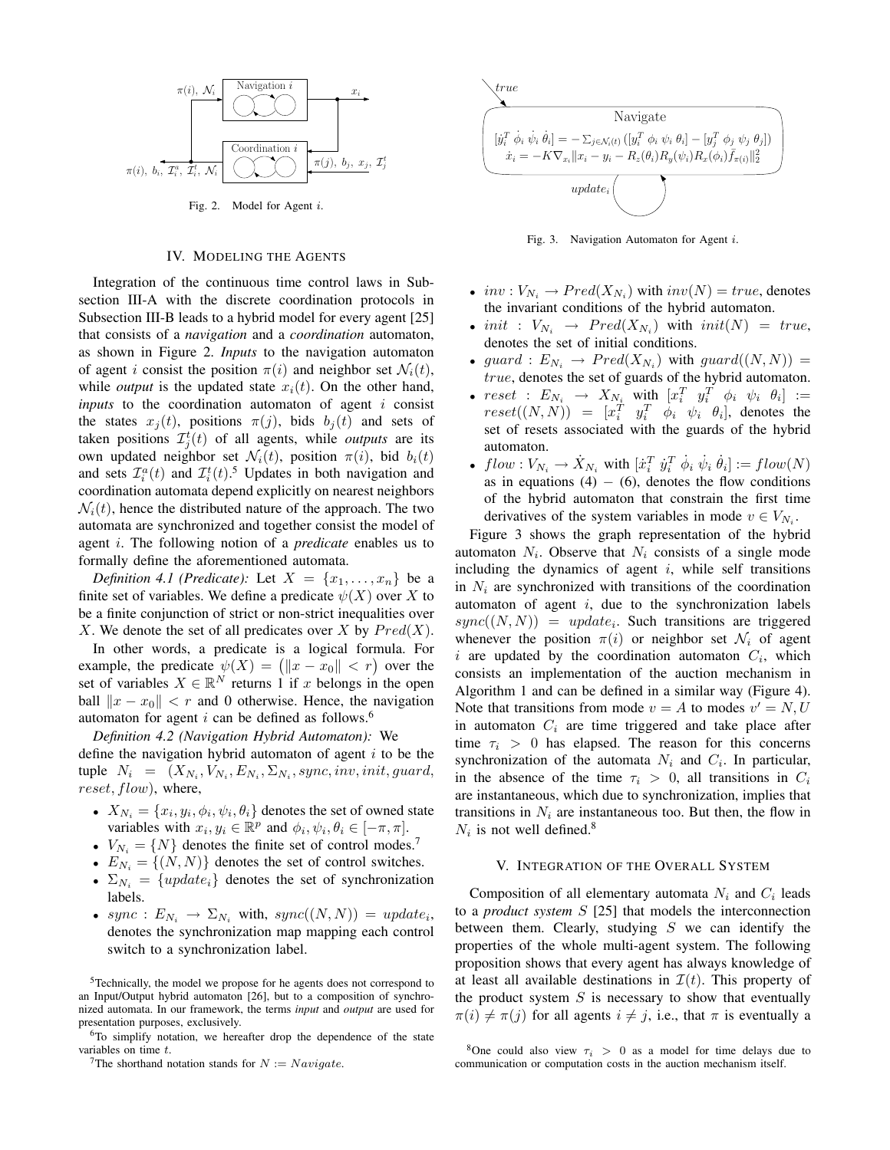

Fig. 2. Model for Agent i.

#### IV. MODELING THE AGENTS

Integration of the continuous time control laws in Subsection III-A with the discrete coordination protocols in Subsection III-B leads to a hybrid model for every agent [25] that consists of a *navigation* and a *coordination* automaton, as shown in Figure 2. *Inputs* to the navigation automaton of agent i consist the position  $\pi(i)$  and neighbor set  $\mathcal{N}_i(t)$ , while *output* is the updated state  $x_i(t)$ . On the other hand, *inputs* to the coordination automaton of agent i consist the states  $x_i(t)$ , positions  $\pi(j)$ , bids  $b_i(t)$  and sets of taken positions  $\mathcal{I}_j^t(t)$  of all agents, while *outputs* are its own updated neighbor set  $\mathcal{N}_i(t)$ , position  $\pi(i)$ , bid  $b_i(t)$ and sets  $\mathcal{I}_i^a(t)$  and  $\mathcal{I}_i^t(t)$ .<sup>5</sup> Updates in both navigation and coordination automata depend explicitly on nearest neighbors  $\mathcal{N}_i(t)$ , hence the distributed nature of the approach. The two automata are synchronized and together consist the model of agent i. The following notion of a *predicate* enables us to formally define the aforementioned automata.

*Definition 4.1 (Predicate):* Let  $X = \{x_1, \ldots, x_n\}$  be a finite set of variables. We define a predicate  $\psi(X)$  over X to be a finite conjunction of strict or non-strict inequalities over X. We denote the set of all predicates over X by  $Pred(X)$ .

In other words, a predicate is a logical formula. For In other words, a predicate is a logical formula. For<br>example, the predicate  $\psi(X) = (||x - x_0|| < r)$  over the set of variables  $X \in \mathbb{R}^N$  returns 1 if x belongs in the open ball  $||x - x_0|| < r$  and 0 otherwise. Hence, the navigation automaton for agent i can be defined as follows.<sup>6</sup>

*Definition 4.2 (Navigation Hybrid Automaton):* We define the navigation hybrid automaton of agent  $i$  to be the tuple  $N_i = (X_{N_i}, V_{N_i}, E_{N_i}, \Sigma_{N_i}, sync, inv, init, guard,$ reset, flow), where,

- $X_{N_i} = \{x_i, y_i, \phi_i, \psi_i, \theta_i\}$  denotes the set of owned state variables with  $x_i, y_i \in \mathbb{R}^p$  and  $\phi_i, \psi_i, \theta_i \in [-\pi, \pi]$ .
- $V_{N_i} = \{N\}$  denotes the finite set of control modes.<sup>7</sup>
- $E_{N_i} = \{(N, N)\}\)$  denotes the set of control switches.
- $\Sigma_{N_i} = \{update_i\}$  denotes the set of synchronization labels.
- sync :  $E_{N_i} \rightarrow \Sigma_{N_i}$  with, sync $((N, N)) = update_i$ , denotes the synchronization map mapping each control switch to a synchronization label.

<sup>5</sup>Technically, the model we propose for he agents does not correspond to an Input/Output hybrid automaton [26], but to a composition of synchronized automata. In our framework, the terms *input* and *output* are used for presentation purposes, exclusively.

<sup>6</sup>To simplify notation, we hereafter drop the dependence of the state variables on time  $t$ .



Fig. 3. Navigation Automaton for Agent i.

- $inv: V_{N_i} \to Pred(X_{N_i})$  with  $inv(N) = true$ , denotes the invariant conditions of the hybrid automaton.
- init :  $V_{N_i}$   $\rightarrow$   $Pred(X_{N_i})$  with  $init(N) = true$ , denotes the set of initial conditions.
- guard :  $E_{N_i} \rightarrow Pred(X_{N_i})$  with guard $((N, N)) =$ true, denotes the set of guards of the hybrid automaton.
- $reset : E_{N_i} \rightarrow X_{N_i}$  with  $\begin{bmatrix} x_i^T & y_i^T & \phi_i & \psi_i & \theta_i \end{bmatrix} :=$  $reset((N, N)) = [x_i^T \quad y_i^T \quad \phi_i \quad \psi_i \quad \theta_i],$  denotes the set of resets associated with the guards of the hybrid automaton.
- $flow: V_{N_i} \to X_{N_i}$  with  $[\dot{x}_i^T \dot{y}_i^T \dot{\phi}_i \dot{\psi}_i \dot{\theta}_i] := flow(N)$ as in equations (4)  $-$  (6), denotes the flow conditions of the hybrid automaton that constrain the first time derivatives of the system variables in mode  $v \in V_{N_i}$ .

Figure 3 shows the graph representation of the hybrid automaton  $N_i$ . Observe that  $N_i$  consists of a single mode including the dynamics of agent  $i$ , while self transitions in  $N_i$  are synchronized with transitions of the coordination automaton of agent  $i$ , due to the synchronization labels  $sync((N, N)) = update_i$ . Such transitions are triggered whenever the position  $\pi(i)$  or neighbor set  $\mathcal{N}_i$  of agent i are updated by the coordination automaton  $C_i$ , which consists an implementation of the auction mechanism in Algorithm 1 and can be defined in a similar way (Figure 4). Note that transitions from mode  $v = A$  to modes  $v' = N, U$ in automaton  $C_i$  are time triggered and take place after time  $\tau_i > 0$  has elapsed. The reason for this concerns synchronization of the automata  $N_i$  and  $C_i$ . In particular, in the absence of the time  $\tau_i > 0$ , all transitions in  $C_i$ are instantaneous, which due to synchronization, implies that transitions in  $N_i$  are instantaneous too. But then, the flow in  $N_i$  is not well defined.<sup>8</sup>

#### V. INTEGRATION OF THE OVERALL SYSTEM

Composition of all elementary automata  $N_i$  and  $C_i$  leads to a *product system* S [25] that models the interconnection between them. Clearly, studying  $S$  we can identify the properties of the whole multi-agent system. The following proposition shows that every agent has always knowledge of at least all available destinations in  $\mathcal{I}(t)$ . This property of the product system  $S$  is necessary to show that eventually  $\pi(i) \neq \pi(j)$  for all agents  $i \neq j$ , i.e., that  $\pi$  is eventually a

<sup>&</sup>lt;sup>7</sup>The shorthand notation stands for  $N := Navigate$ .

<sup>&</sup>lt;sup>8</sup>One could also view  $\tau_i > 0$  as a model for time delays due to communication or computation costs in the auction mechanism itself.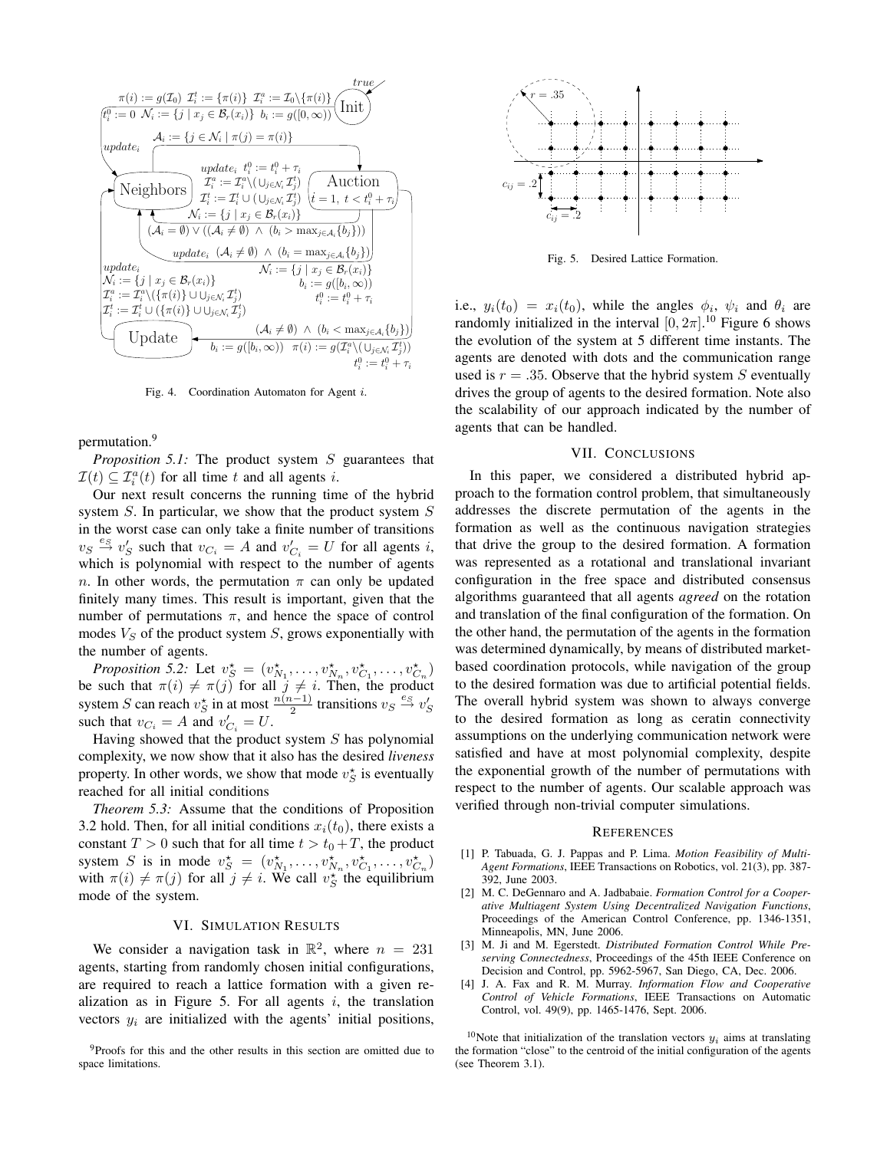

Fig. 4. Coordination Automaton for Agent i.

permutation.<sup>9</sup>

*Proposition 5.1:* The product system S guarantees that  $\mathcal{I}(t) \subseteq \mathcal{I}_i^a(t)$  for all time t and all agents i.

Our next result concerns the running time of the hybrid system  $S$ . In particular, we show that the product system  $S$ in the worst case can only take a finite number of transitions  $v_S \stackrel{e_S}{\rightarrow} v'_S$  such that  $v_{C_i} = A$  and  $v'_{C_i} = U$  for all agents i, which is polynomial with respect to the number of agents n. In other words, the permutation  $\pi$  can only be updated finitely many times. This result is important, given that the number of permutations  $\pi$ , and hence the space of control modes  $V_S$  of the product system  $S$ , grows exponentially with the number of agents.

*Proposition 5.2:* Let  $v_S^* = (v_{N_1}^*, \ldots, v_{N_n}^*, v_{C_1}^*, \ldots, v_{C_n}^*)$ be such that  $\pi(i) \neq \pi(j)$  for all  $j \neq i$ . Then, the product system S can reach  $v_S^*$  in at most  $\frac{n(n-1)}{2}$  transitions  $v_S \stackrel{e_S}{\rightarrow} v_S'$ such that  $v_{C_i} = A$  and  $v'_{C_i} = U$ .

Having showed that the product system  $S$  has polynomial complexity, we now show that it also has the desired *liveness* property. In other words, we show that mode  $v_S^*$  is eventually reached for all initial conditions

*Theorem 5.3:* Assume that the conditions of Proposition 3.2 hold. Then, for all initial conditions  $x_i(t_0)$ , there exists a constant  $T > 0$  such that for all time  $t > t_0 + T$ , the product system S is in mode  $v_S^* = (v_{N_1}^*, \ldots, v_{N_n}^*, v_{C_1}^*, \ldots, v_{C_n}^*)$ with  $\pi(i) \neq \pi(j)$  for all  $j \neq i$ . We call  $v_S^*$  the equilibrium mode of the system.

# VI. SIMULATION RESULTS

We consider a navigation task in  $\mathbb{R}^2$ , where  $n = 231$ agents, starting from randomly chosen initial configurations, are required to reach a lattice formation with a given realization as in Figure 5. For all agents  $i$ , the translation vectors  $y_i$  are initialized with the agents' initial positions,



Fig. 5. Desired Lattice Formation.

i.e.,  $y_i(t_0) = x_i(t_0)$ , while the angles  $\phi_i$ ,  $\psi_i$  and  $\theta_i$  are randomly initialized in the interval  $[0, 2\pi]$ .<sup>10</sup> Figure 6 shows the evolution of the system at 5 different time instants. The agents are denoted with dots and the communication range used is  $r = .35$ . Observe that the hybrid system S eventually drives the group of agents to the desired formation. Note also the scalability of our approach indicated by the number of agents that can be handled.

# VII. CONCLUSIONS

In this paper, we considered a distributed hybrid approach to the formation control problem, that simultaneously addresses the discrete permutation of the agents in the formation as well as the continuous navigation strategies that drive the group to the desired formation. A formation was represented as a rotational and translational invariant configuration in the free space and distributed consensus algorithms guaranteed that all agents *agreed* on the rotation and translation of the final configuration of the formation. On the other hand, the permutation of the agents in the formation was determined dynamically, by means of distributed marketbased coordination protocols, while navigation of the group to the desired formation was due to artificial potential fields. The overall hybrid system was shown to always converge to the desired formation as long as ceratin connectivity assumptions on the underlying communication network were satisfied and have at most polynomial complexity, despite the exponential growth of the number of permutations with respect to the number of agents. Our scalable approach was verified through non-trivial computer simulations.

#### **REFERENCES**

- [1] P. Tabuada, G. J. Pappas and P. Lima. *Motion Feasibility of Multi-Agent Formations*, IEEE Transactions on Robotics, vol. 21(3), pp. 387- 392, June 2003.
- [2] M. C. DeGennaro and A. Jadbabaie. *Formation Control for a Cooperative Multiagent System Using Decentralized Navigation Functions*, Proceedings of the American Control Conference, pp. 1346-1351, Minneapolis, MN, June 2006.
- [3] M. Ji and M. Egerstedt. *Distributed Formation Control While Preserving Connectedness*, Proceedings of the 45th IEEE Conference on Decision and Control, pp. 5962-5967, San Diego, CA, Dec. 2006.
- [4] J. A. Fax and R. M. Murray. *Information Flow and Cooperative Control of Vehicle Formations*, IEEE Transactions on Automatic Control, vol. 49(9), pp. 1465-1476, Sept. 2006.

<sup>10</sup>Note that initialization of the translation vectors  $y_i$  aims at translating the formation "close" to the centroid of the initial configuration of the agents (see Theorem 3.1).

<sup>9</sup>Proofs for this and the other results in this section are omitted due to space limitations.